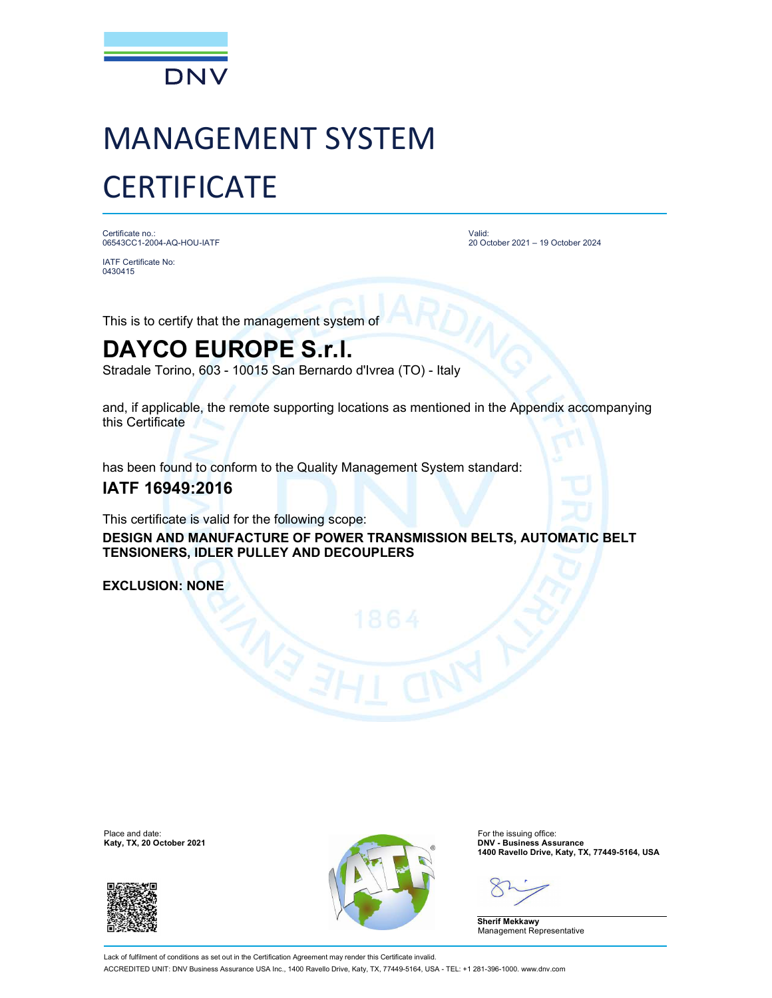

## MANAGEMENT SYSTEM **CERTIFICATE**

Certificate no.: 06543CC1-2004-AQ-HOU-IATF

IATF Certificate No: 0430415

Valid: 20 October 2021 – 19 October 2024

This is to certify that the management system of

## DAYCO EUROPE S.r.l.

Stradale Torino, 603 - 10015 San Bernardo d'Ivrea (TO) - Italy

and, if applicable, the remote supporting locations as mentioned in the Appendix accompanying this Certificate

has been found to conform to the Quality Management System standard:

## IATF 16949:2016

This certificate is valid for the following scope:

DESIGN AND MANUFACTURE OF POWER TRANSMISSION BELTS, AUTOMATIC BELT TENSIONERS, IDLER PULLEY AND DECOUPLERS

EXCLUSION: NONE

Katy, TX, 20 October 2021





1400 Ravello Drive, Katy, TX, 77449-5164, USA

Sherif Mekkawy Management Representative

Lack of fulfilment of conditions as set out in the Certification Agreement may render this Certificate invalid. ACCREDITED UNIT: DNV Business Assurance USA Inc., 1400 Ravello Drive, Katy, TX, 77449-5164, USA - TEL: +1 281-396-1000. www.dnv.com